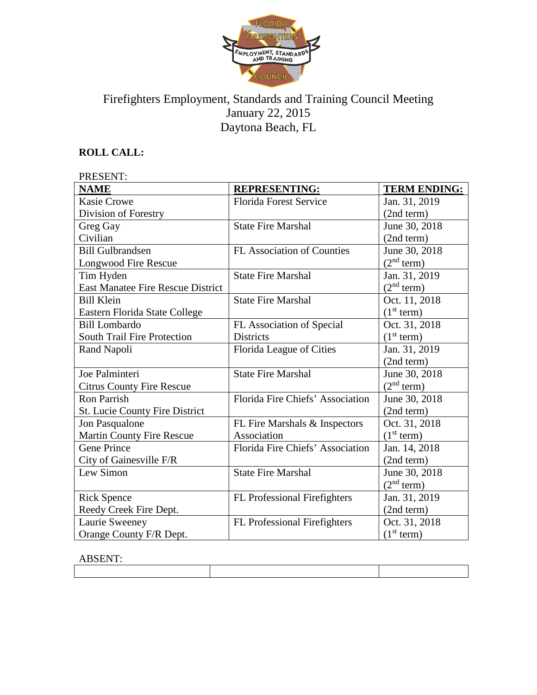

# Firefighters Employment, Standards and Training Council Meeting January 22, 2015 Daytona Beach, FL

# **ROLL CALL:**

| PRESENT:                              |                                   |                        |  |  |
|---------------------------------------|-----------------------------------|------------------------|--|--|
| <b>NAME</b>                           | <b>REPRESENTING:</b>              | <b>TERM ENDING:</b>    |  |  |
| <b>Kasie Crowe</b>                    | <b>Florida Forest Service</b>     | Jan. 31, 2019          |  |  |
| Division of Forestry                  |                                   | (2nd term)             |  |  |
| Greg Gay                              | <b>State Fire Marshal</b>         | June 30, 2018          |  |  |
| Civilian                              |                                   | (2nd term)             |  |  |
| <b>Bill Gulbrandsen</b>               | <b>FL Association of Counties</b> | June 30, 2018          |  |  |
| <b>Longwood Fire Rescue</b>           |                                   | (2 <sup>nd</sup> term) |  |  |
| Tim Hyden                             | <b>State Fire Marshal</b>         | Jan. 31, 2019          |  |  |
| East Manatee Fire Rescue District     |                                   | (2 <sup>nd</sup> term) |  |  |
| <b>Bill Klein</b>                     | <b>State Fire Marshal</b>         | Oct. 11, 2018          |  |  |
| Eastern Florida State College         |                                   | (1 <sup>st</sup> term) |  |  |
| <b>Bill Lombardo</b>                  | FL Association of Special         | Oct. 31, 2018          |  |  |
| South Trail Fire Protection           | <b>Districts</b>                  | (1 <sup>st</sup> term) |  |  |
| Rand Napoli                           | Florida League of Cities          | Jan. 31, 2019          |  |  |
|                                       |                                   | (2nd term)             |  |  |
| Joe Palminteri                        | <b>State Fire Marshal</b>         | June 30, 2018          |  |  |
| <b>Citrus County Fire Rescue</b>      |                                   | (2 <sup>nd</sup> term) |  |  |
| <b>Ron Parrish</b>                    | Florida Fire Chiefs' Association  | June 30, 2018          |  |  |
| <b>St. Lucie County Fire District</b> |                                   | (2nd term)             |  |  |
| Jon Pasqualone                        | FL Fire Marshals & Inspectors     | Oct. 31, 2018          |  |  |
| <b>Martin County Fire Rescue</b>      | Association                       | (1 <sup>st</sup> term) |  |  |
| <b>Gene Prince</b>                    | Florida Fire Chiefs' Association  | Jan. 14, 2018          |  |  |
| City of Gainesville F/R               |                                   | (2nd term)             |  |  |
| Lew Simon                             | <b>State Fire Marshal</b>         | June 30, 2018          |  |  |
|                                       |                                   | (2 <sup>nd</sup> term) |  |  |
| <b>Rick Spence</b>                    | FL Professional Firefighters      | Jan. 31, 2019          |  |  |
| Reedy Creek Fire Dept.                |                                   | (2nd term)             |  |  |
| Laurie Sweeney                        | FL Professional Firefighters      | Oct. 31, 2018          |  |  |
| Orange County F/R Dept.               |                                   | (1 <sup>st</sup> term) |  |  |

# ABSENT:

| ----------------- |  |  |  |
|-------------------|--|--|--|
|                   |  |  |  |
|                   |  |  |  |
|                   |  |  |  |
|                   |  |  |  |
|                   |  |  |  |
|                   |  |  |  |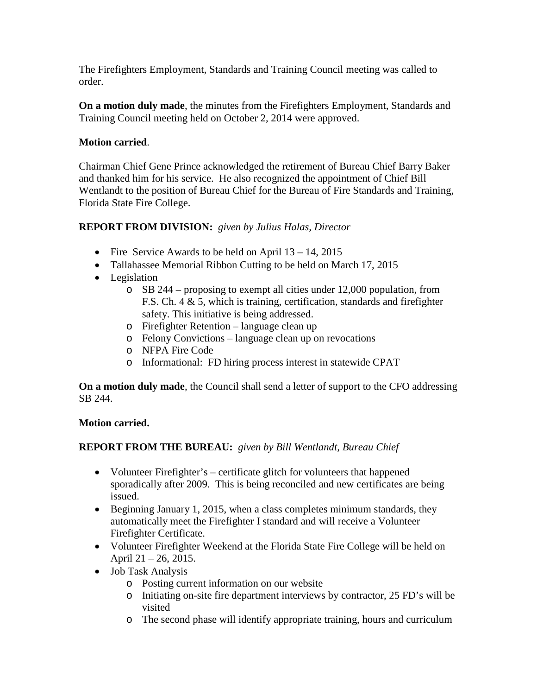The Firefighters Employment, Standards and Training Council meeting was called to order.

**On a motion duly made**, the minutes from the Firefighters Employment, Standards and Training Council meeting held on October 2, 2014 were approved.

## **Motion carried**.

Chairman Chief Gene Prince acknowledged the retirement of Bureau Chief Barry Baker and thanked him for his service. He also recognized the appointment of Chief Bill Wentlandt to the position of Bureau Chief for the Bureau of Fire Standards and Training, Florida State Fire College.

# **REPORT FROM DIVISION:** *given by Julius Halas, Director*

- Fire Service Awards to be held on April  $13 14$ , 2015
- Tallahassee Memorial Ribbon Cutting to be held on March 17, 2015
- Legislation
	- o SB 244 proposing to exempt all cities under 12,000 population, from F.S. Ch. 4 & 5, which is training, certification, standards and firefighter safety. This initiative is being addressed.
	- o Firefighter Retention language clean up
	- o Felony Convictions language clean up on revocations
	- o NFPA Fire Code
	- o Informational: FD hiring process interest in statewide CPAT

**On a motion duly made**, the Council shall send a letter of support to the CFO addressing SB 244.

### **Motion carried.**

# **REPORT FROM THE BUREAU:** *given by Bill Wentlandt, Bureau Chief*

- Volunteer Firefighter's certificate glitch for volunteers that happened sporadically after 2009. This is being reconciled and new certificates are being issued.
- Beginning January 1, 2015, when a class completes minimum standards, they automatically meet the Firefighter I standard and will receive a Volunteer Firefighter Certificate.
- Volunteer Firefighter Weekend at the Florida State Fire College will be held on April 21 – 26, 2015.
- Job Task Analysis
	- o Posting current information on our website
	- o Initiating on-site fire department interviews by contractor, 25 FD's will be visited
	- o The second phase will identify appropriate training, hours and curriculum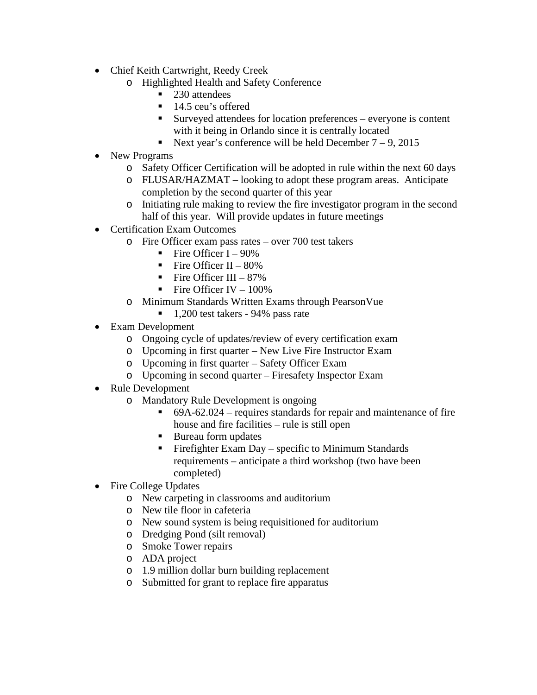- Chief Keith Cartwright, Reedy Creek
	- o Highlighted Health and Safety Conference
		- 230 attendees
		- 14.5 ceu's offered
		- Surveyed attendees for location preferences everyone is content with it being in Orlando since it is centrally located
		- Next year's conference will be held December  $7 9$ , 2015
- New Programs
	- o Safety Officer Certification will be adopted in rule within the next 60 days
	- o FLUSAR/HAZMAT looking to adopt these program areas. Anticipate completion by the second quarter of this year
	- o Initiating rule making to review the fire investigator program in the second half of this year. Will provide updates in future meetings
- Certification Exam Outcomes
	- o Fire Officer exam pass rates over 700 test takers
		- Fire Officer I 90%
		- Fire Officer II  $80\%$
		- Fire Officer III  $87\%$
		- Fire Officer IV  $100\%$
	- o Minimum Standards Written Exams through PearsonVue
		- $\blacksquare$  1,200 test takers 94% pass rate
- Exam Development
	- o Ongoing cycle of updates/review of every certification exam
	- o Upcoming in first quarter New Live Fire Instructor Exam
	- o Upcoming in first quarter Safety Officer Exam
	- o Upcoming in second quarter Firesafety Inspector Exam
- Rule Development
	- o Mandatory Rule Development is ongoing
		- $\bullet$  69A-62.024 requires standards for repair and maintenance of fire house and fire facilities – rule is still open
		- Bureau form updates
		- **Firefighter Exam Day specific to Minimum Standards** requirements – anticipate a third workshop (two have been completed)
- Fire College Updates
	- o New carpeting in classrooms and auditorium
	- o New tile floor in cafeteria
	- o New sound system is being requisitioned for auditorium
	- o Dredging Pond (silt removal)
	- o Smoke Tower repairs
	- o ADA project
	- o 1.9 million dollar burn building replacement
	- o Submitted for grant to replace fire apparatus